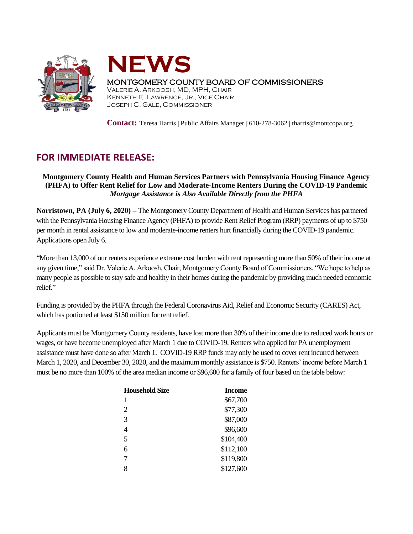



## MONTGOMERY COUNTY BOARD OF COMMISSIONERS

VALERIE A. ARKOOSH, MD, MPH, CHAIR KENNETH E. LAWRENCE, JR., VICE CHAIR JOSEPH C. GALE, COMMISSIONER

**Contact:** Teresa Harris | Public Affairs Manager | 610-278-3062 | tharris@montcopa.org

## **FOR IMMEDIATE RELEASE:**

## **Montgomery County Health and Human Services Partners with Pennsylvania Housing Finance Agency (PHFA) to Offer Rent Relief for Low and Moderate-Income Renters During the COVID-19 Pandemic** *Mortgage Assistance is Also Available Directly from the PHFA*

**Norristown, PA (July 6, 2020) –** The Montgomery County Department of Health and Human Services has partnered with the Pennsylvania Housing Finance Agency (PHFA) to provide Rent Relief Program (RRP) payments of up to \$750 per month in rental assistance to low and moderate-income renters hurt financially during the COVID-19 pandemic. Applications open July 6.

"More than 13,000 of our renters experience extreme cost burden with rent representing more than 50% of their income at any given time," said Dr. Valerie A. Arkoosh, Chair, Montgomery County Board of Commissioners. "We hope to help as many people as possible to stay safe and healthy in their homes during the pandemic by providing much needed economic relief."

Funding is provided by the PHFA through the Federal Coronavirus Aid, Relief and Economic Security (CARES) Act, which has portioned at least \$150 million for rent relief.

Applicants must be Montgomery County residents, have lost more than 30% of their income due to reduced work hours or wages, or have become unemployed after March 1 due to COVID-19. Renters who applied for PA unemployment assistance must have done so after March 1. COVID-19 RRP funds may only be used to cover rent incurred between March 1, 2020, and December 30, 2020, and the maximum monthly assistance is \$750. Renters' income before March 1 must be no more than 100% of the area median income or \$96,600 for a family of four based on the table below:

| <b>Household Size</b> | <b>Income</b> |
|-----------------------|---------------|
| 1                     | \$67,700      |
| $\overline{2}$        | \$77,300      |
| 3                     | \$87,000      |
| 4                     | \$96,600      |
| 5                     | \$104,400     |
| 6                     | \$112,100     |
| 7                     | \$119,800     |
| 8                     | \$127,600     |